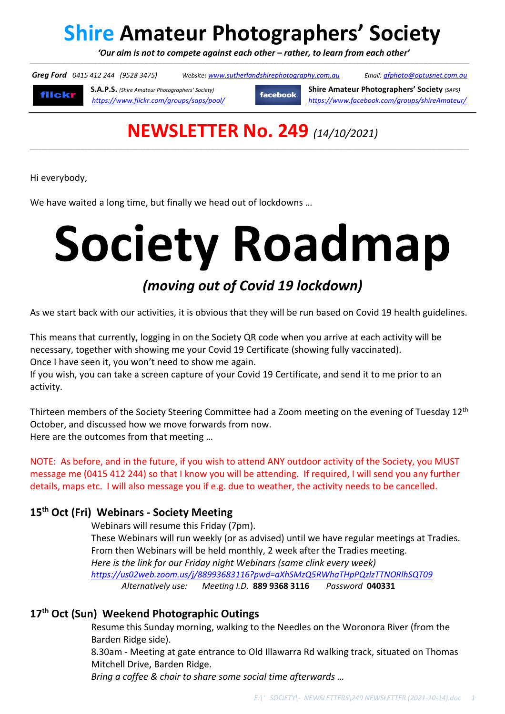# **Shire Amateur Photographers' Society**

 *'Our aim is not to compete against each other – rather, to learn from each other'*  \_\_\_\_\_\_\_\_\_\_\_\_\_\_\_\_\_\_\_\_\_\_\_\_\_\_\_\_\_\_\_\_\_\_\_\_\_\_\_\_\_\_\_\_\_\_\_\_\_\_\_\_\_\_\_\_\_\_\_\_\_\_\_\_\_\_\_\_\_\_\_\_\_\_\_\_\_\_\_\_\_\_\_\_\_\_\_\_\_\_\_\_\_\_\_\_\_\_\_\_\_\_\_\_\_\_\_\_\_\_\_\_\_\_\_\_\_\_\_\_\_\_\_\_\_\_\_\_\_\_\_\_\_\_\_\_\_\_\_\_\_\_\_\_\_\_\_\_\_\_\_\_\_\_\_\_\_\_\_\_\_\_\_\_\_\_\_\_\_\_\_\_\_\_\_\_\_\_\_\_\_\_\_\_\_\_\_\_\_\_\_\_\_\_\_\_\_\_\_\_\_\_\_\_\_\_\_\_\_\_\_\_\_\_\_\_\_\_\_\_\_\_\_\_\_\_\_\_\_\_\_\_\_\_\_\_\_\_\_\_\_\_\_\_\_\_\_\_\_\_\_\_\_\_\_\_\_\_\_\_

 *Greg Ford 0415 412 244 (9528 3475) Website: www.sutherlandshirephotography.com.au Email: gfphoto@optusnet.com.au* 



**S.A.P.S.** *(Shire Amateur Photographers' Society)* **Shire Amateur Photographers' Society** *(SAPS)* **facebook** *https://www.flickr.com/groups/saps/pool/ https://www.facebook.com/groups/shireAmateur/*

## **NEWSLETTER No. 249** *(14/10/2021)*

,一个人的人都是不是,他们的人都是不是,他们的人都是不是,他们的人都是不是,他们的人都是不是,他们的人都是不是,他们的人都是不是,他们的人都是不是,他们的人都是不

Hi everybody,

We have waited a long time, but finally we head out of lockdowns …

# **Society Roadmap**

## *(moving out of Covid 19 lockdown)*

As we start back with our activities, it is obvious that they will be run based on Covid 19 health guidelines.

This means that currently, logging in on the Society QR code when you arrive at each activity will be necessary, together with showing me your Covid 19 Certificate (showing fully vaccinated). Once I have seen it, you won't need to show me again.

If you wish, you can take a screen capture of your Covid 19 Certificate, and send it to me prior to an activity.

Thirteen members of the Society Steering Committee had a Zoom meeting on the evening of Tuesday 12<sup>th</sup> October, and discussed how we move forwards from now. Here are the outcomes from that meeting …

NOTE: As before, and in the future, if you wish to attend ANY outdoor activity of the Society, you MUST message me (0415 412 244) so that I know you will be attending. If required, I will send you any further details, maps etc. I will also message you if e.g. due to weather, the activity needs to be cancelled.

## **15th Oct (Fri) Webinars - Society Meeting**

Webinars will resume this Friday (7pm).

 These Webinars will run weekly (or as advised) until we have regular meetings at Tradies. From then Webinars will be held monthly, 2 week after the Tradies meeting. *Here is the link for our Friday night Webinars (same clink every week) https://us02web.zoom.us/j/88993683116?pwd=aXhSMzQ5RWhaTHpPQzlzTTNORlhSQT09 Alternatively use: Meeting I.D.* **889 9368 3116** *Password* **040331**

## **17th Oct (Sun) Weekend Photographic Outings**

Resume this Sunday morning, walking to the Needles on the Woronora River (from the Barden Ridge side).

 8.30am - Meeting at gate entrance to Old Illawarra Rd walking track, situated on Thomas Mitchell Drive, Barden Ridge.

 *Bring a coffee & chair to share some social time afterwards …*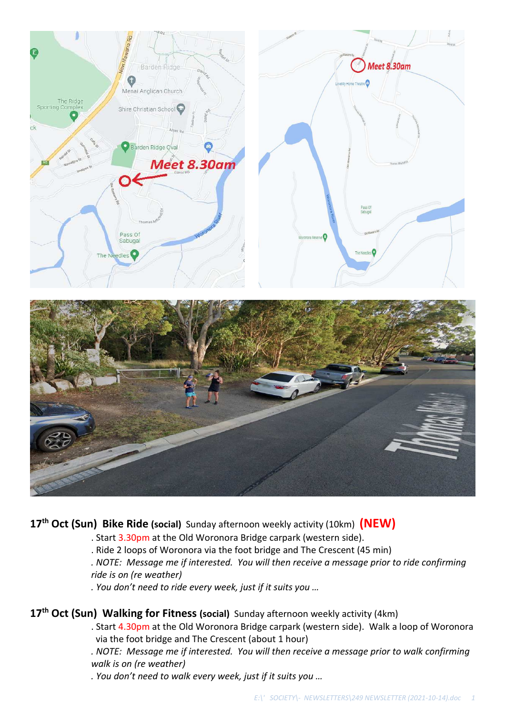



## **17th Oct (Sun) Bike Ride (social)** Sunday afternoon weekly activity (10km) **(NEW)**

- . Start 3.30pm at the Old Woronora Bridge carpark (western side).
- . Ride 2 loops of Woronora via the foot bridge and The Crescent (45 min)
- *. NOTE: Message me if interested. You will then receive a message prior to ride confirming ride is on (re weather)*
- *. You don't need to ride every week, just if it suits you …*

## **17th Oct (Sun) Walking for Fitness (social)** Sunday afternoon weekly activity (4km)

- . Start 4.30pm at the Old Woronora Bridge carpark (western side). Walk a loop of Woronora via the foot bridge and The Crescent (about 1 hour)
- *. NOTE: Message me if interested. You will then receive a message prior to walk confirming walk is on (re weather)*
- *. You don't need to walk every week, just if it suits you …*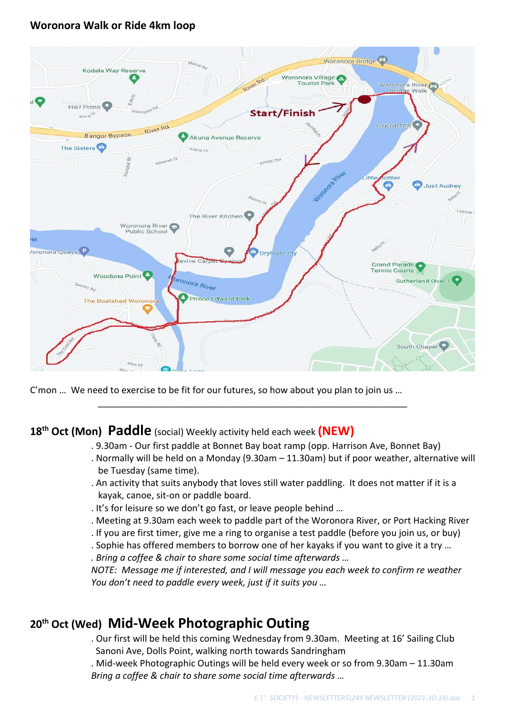## **Woronora Walk or Ride 4km loop**



C'mon … We need to exercise to be fit for our futures, so how about you plan to join us …

## **18th Oct (Mon) Paddle** (social) Weekly activity held each week **(NEW)**

. 9.30am - Our first paddle at Bonnet Bay boat ramp (opp. Harrison Ave, Bonnet Bay)

\_\_\_\_\_\_\_\_\_\_\_\_\_\_\_\_\_\_\_\_\_\_\_\_\_\_\_\_\_\_\_\_\_\_\_\_\_\_\_\_\_\_\_\_\_\_\_\_\_\_\_\_\_\_\_\_\_\_\_\_\_

- . Normally will be held on a Monday (9.30am 11.30am) but if poor weather, alternative will be Tuesday (same time).
- . An activity that suits anybody that loves still water paddling. It does not matter if it is a kayak, canoe, sit-on or paddle board.
- . It's for leisure so we don't go fast, or leave people behind …
- . Meeting at 9.30am each week to paddle part of the Woronora River, or Port Hacking River
- . If you are first timer, give me a ring to organise a test paddle (before you join us, or buy)
- . Sophie has offered members to borrow one of her kayaks if you want to give it a try …
- *. Bring a coffee & chair to share some social time afterwards …*

*NOTE: Message me if interested, and I will message you each week to confirm re weather You don't need to paddle every week, just if it suits you …* 

## **20th Oct (Wed) Mid-Week Photographic Outing**

. Our first will be held this coming Wednesday from 9.30am. Meeting at 16' Sailing Club Sanoni Ave, Dolls Point, walking north towards Sandringham

. Mid-week Photographic Outings will be held every week or so from 9.30am – 11.30am  *Bring a coffee & chair to share some social time afterwards …*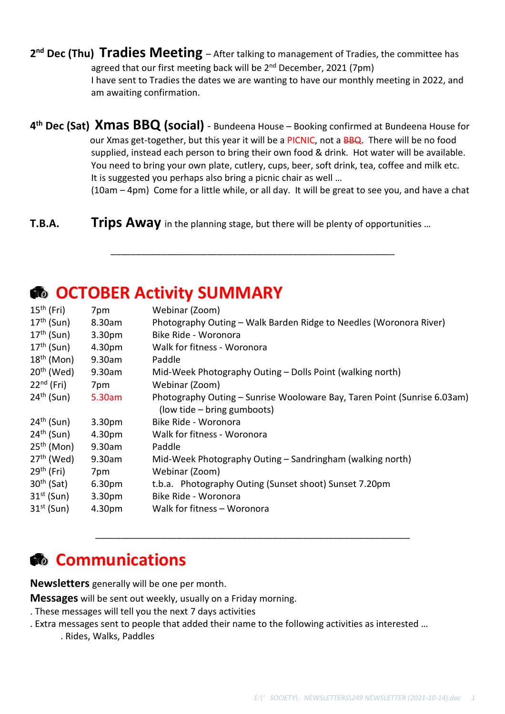**2 nd Dec (Thu) Tradies Meeting** – After talking to management of Tradies, the committee has agreed that our first meeting back will be  $2<sup>nd</sup>$  December, 2021 (7pm) I have sent to Tradies the dates we are wanting to have our monthly meeting in 2022, and am awaiting confirmation.

**4 th Dec (Sat) Xmas BBQ (social)** - Bundeena House – Booking confirmed at Bundeena House for our Xmas get-together, but this year it will be a PICNIC, not a BBQ. There will be no food supplied, instead each person to bring their own food & drink. Hot water will be available. You need to bring your own plate, cutlery, cups, beer, soft drink, tea, coffee and milk etc. It is suggested you perhaps also bring a picnic chair as well …

\_\_\_\_\_\_\_\_\_\_\_\_\_\_\_\_\_\_\_\_\_\_\_\_\_\_\_\_\_\_\_\_\_\_\_\_\_\_\_\_\_\_\_\_\_\_\_\_\_\_\_\_\_\_\_\_

(10am – 4pm) Come for a little while, or all day. It will be great to see you, and have a chat

**T.B.A. Trips Away** in the planning stage, but there will be plenty of opportunities ...

## 15th (Fri) 7pm Webinar (Zoom) 17<sup>th</sup> (Sun) 8.30am Photography Outing – Walk Barden Ridge to Needles (Woronora River) 17<sup>th</sup> (Sun) 3.30pm Bike Ride - Woronora 17<sup>th</sup> (Sun) 4.30pm Walk for fitness - Woronora 18th (Mon) 9.30am Paddle 20<sup>th</sup> (Wed) 9.30am Mid-Week Photography Outing – Dolls Point (walking north) 22<sup>nd</sup> (Fri) 7pm Webinar (Zoom) 24th (Sun) 5.30am Photography Outing – Sunrise Wooloware Bay, Taren Point (Sunrise 6.03am) (low tide – bring gumboots) 24th (Sun) 3.30pm Bike Ride - Woronora 24th (Sun) 4.30pm Walk for fitness - Woronora 25<sup>th</sup> (Mon) 9.30am Paddle  $27<sup>th</sup>$  (Wed) 9.30am Mid-Week Photography Outing – Sandringham (walking north) 29th (Fri) 7pm Webinar (Zoom) 30<sup>th</sup> (Sat) 6.30pm t.b.a. Photography Outing (Sunset shoot) Sunset 7.20pm 31st (Sun) 3.30pm Bike Ride - Woronora  $31<sup>st</sup>$  (Sun) 4.30pm Walk for fitness – Woronora

\_\_\_\_\_\_\_\_\_\_\_\_\_\_\_\_\_\_\_\_\_\_\_\_\_\_\_\_\_\_\_\_\_\_\_\_\_\_\_\_\_\_\_\_\_\_\_\_\_\_\_\_\_\_\_\_\_\_\_\_\_\_

## *<b>A* OCTOBER Activity SUMMARY

## **Communications**

**Newsletters** generally will be one per month.

**Messages** will be sent out weekly, usually on a Friday morning.

- . These messages will tell you the next 7 days activities
- . Extra messages sent to people that added their name to the following activities as interested …
	- . Rides, Walks, Paddles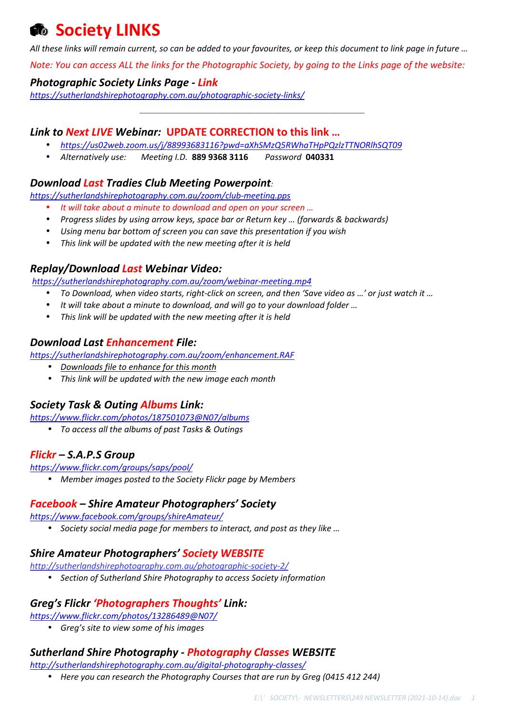## **Society LINKS**

*All these links will remain current, so can be added to your favourites, or keep this document to link page in future …* 

*Note: You can access ALL the links for the Photographic Society, by going to the Links page of the website:* 

*\_\_\_\_\_\_\_\_\_\_\_\_\_\_\_\_\_\_\_\_\_\_\_\_\_\_\_\_\_\_\_\_\_\_\_\_\_\_\_\_\_\_\_\_\_\_\_\_\_\_\_\_\_\_\_\_\_\_\_\_\_\_\_\_\_\_\_\_\_\_\_\_\_\_\_\_* 

#### *Photographic Society Links Page - Link*

*https://sutherlandshirephotography.com.au/photographic-society-links/* 

### *Link to Next LIVE Webinar:* **UPDATE CORRECTION to this link …**

- *https://us02web.zoom.us/j/88993683116?pwd=aXhSMzQ5RWhaTHpPQzlzTTNORlhSQT09*
- *Alternatively use: Meeting I.D.* **889 9368 3116** *Password* **040331**

## *Download Last Tradies Club Meeting Powerpoint:*

*https://sutherlandshirephotography.com.au/zoom/club-meeting.pps* 

- *It will take about a minute to download and open on your screen …*
- *Progress slides by using arrow keys, space bar or Return key … (forwards & backwards)*
- *Using menu bar bottom of screen you can save this presentation if you wish*
- *This link will be updated with the new meeting after it is held*

## *Replay/Download Last Webinar Video:*

*https://sutherlandshirephotography.com.au/zoom/webinar-meeting.mp4*

- *To Download, when video starts, right-click on screen, and then 'Save video as …' or just watch it …*
- *It will take about a minute to download, and will go to your download folder …*
- *This link will be updated with the new meeting after it is held*

## *Download Last Enhancement File:*

*https://sutherlandshirephotography.com.au/zoom/enhancement.RAF* 

- *Downloads file to enhance for this month*
- *This link will be updated with the new image each month*

## *Society Task & Outing Albums Link:*

*https://www.flickr.com/photos/187501073@N07/albums* 

• *To access all the albums of past Tasks & Outings* 

## *Flickr – S.A.P.S Group*

*https://www.flickr.com/groups/saps/pool/* 

• *Member images posted to the Society Flickr page by Members* 

## *Facebook – Shire Amateur Photographers' Society*

*https://www.facebook.com/groups/shireAmateur/* 

• *Society social media page for members to interact, and post as they like …* 

#### *Shire Amateur Photographers' Society WEBSITE*

*http://sutherlandshirephotography.com.au/photographic-society-2/* 

• *Section of Sutherland Shire Photography to access Society information* 

## *Greg's Flickr 'Photographers Thoughts' Link:*

*https://www.flickr.com/photos/13286489@N07/* 

• *Greg's site to view some of his images* 

## *Sutherland Shire Photography - Photography Classes WEBSITE*

*http://sutherlandshirephotography.com.au/digital-photography-classes/*

• *Here you can research the Photography Courses that are run by Greg (0415 412 244)*